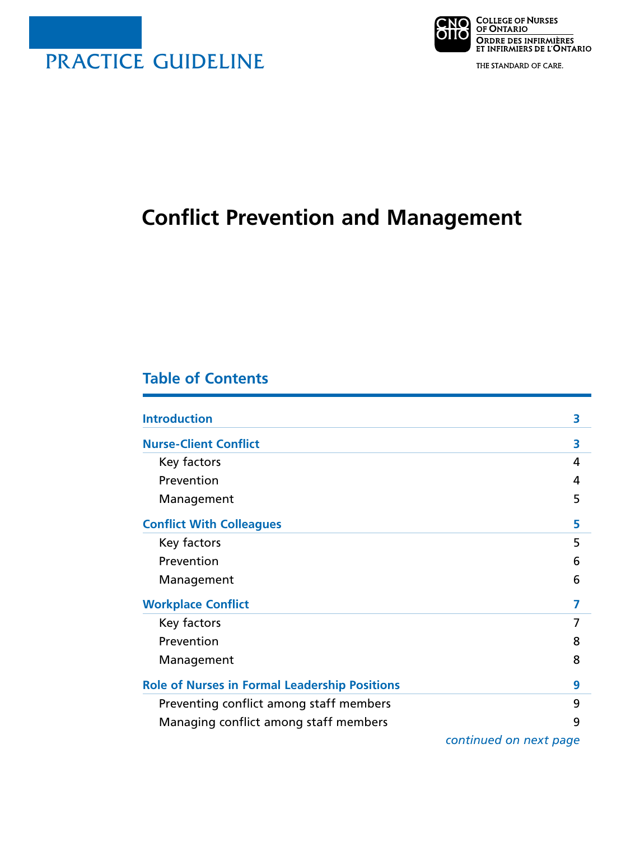



THE STANDARD OF CARE.

# **Conflict Prevention and Management**

# **Table of Contents**

| <b>Introduction</b>                                  | 3 |
|------------------------------------------------------|---|
| <b>Nurse-Client Conflict</b>                         | 3 |
| Key factors                                          | 4 |
| Prevention                                           | 4 |
| Management                                           | 5 |
| <b>Conflict With Colleagues</b>                      | 5 |
| Key factors                                          | 5 |
| Prevention                                           | 6 |
| Management                                           | 6 |
| <b>Workplace Conflict</b>                            | 7 |
| Key factors                                          | 7 |
| Prevention                                           | 8 |
| Management                                           | 8 |
| <b>Role of Nurses in Formal Leadership Positions</b> | 9 |
| Preventing conflict among staff members              | 9 |
| Managing conflict among staff members                | 9 |

*continued on next page*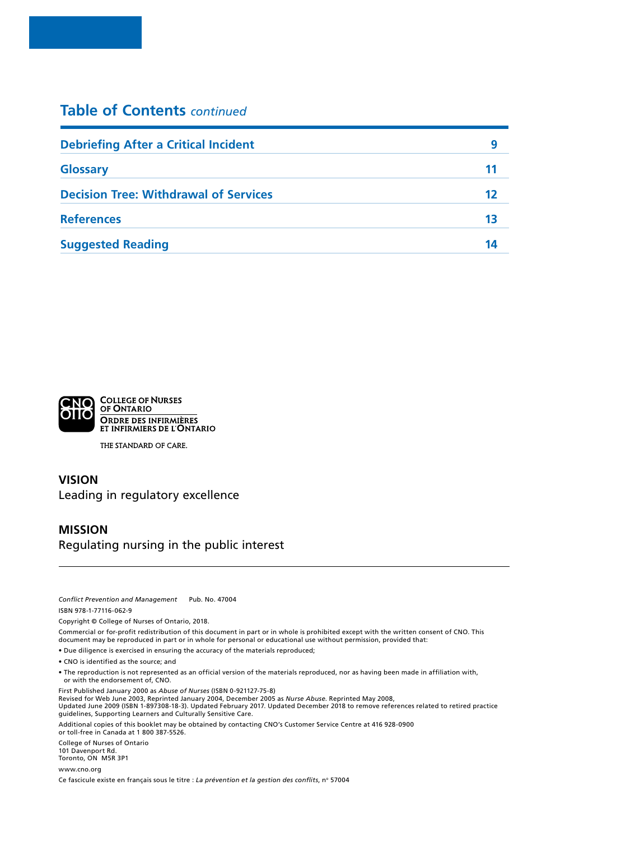# **Table of Contents** *continued*

| <b>Debriefing After a Critical Incident</b>  | 9  |
|----------------------------------------------|----|
| <b>Glossary</b>                              | 11 |
| <b>Decision Tree: Withdrawal of Services</b> | 12 |
| <b>References</b>                            | 13 |
| <b>Suggested Reading</b>                     | 14 |



THE STANDARD OF CARE.

### **VISION** Leading in regulatory excellence

#### **MISSION** Regulating nursing in the public interest

*Conflict Prevention and Management* Pub. No. 47004 ISBN 978-1-77116-062-9

Copyright © College of Nurses of Ontario, 2018.

Commercial or for-profit redistribution of this document in part or in whole is prohibited except with the written consent of CNO. This document may be reproduced in part or in whole for personal or educational use without permission, provided that:

• Due diligence is exercised in ensuring the accuracy of the materials reproduced;

• CNO is identified as the source; and

• The reproduction is not represented as an official version of the materials reproduced, nor as having been made in affiliation with, or with the endorsement of, CNO.

First Published January 2000 as *Abuse of Nurses* (ISBN 0-921127-75-8) Revised for Web June 2003, Reprinted January 2004, December 2005 as *Nurse Abuse*. Reprinted May 2008, Updated June 2009 (ISBN 1-897308-18-3). Updated February 2017. Updated December 2018 to remove references related to retired practice guidelines, Supporting Learners and Culturally Sensitive Care.

Additional copies of this booklet may be obtained by contacting CNO's Customer Service Centre at 416 928-0900 or toll-free in Canada at 1 800 387-5526.

College of Nurses of Ontario 101 Davenport Rd. Toronto, ON M5R 3P1

[www.cno.org](http://www.cno.org)

Ce fascicule existe en français sous le titre : *La prévention et la gestion des conflits*, n° 57004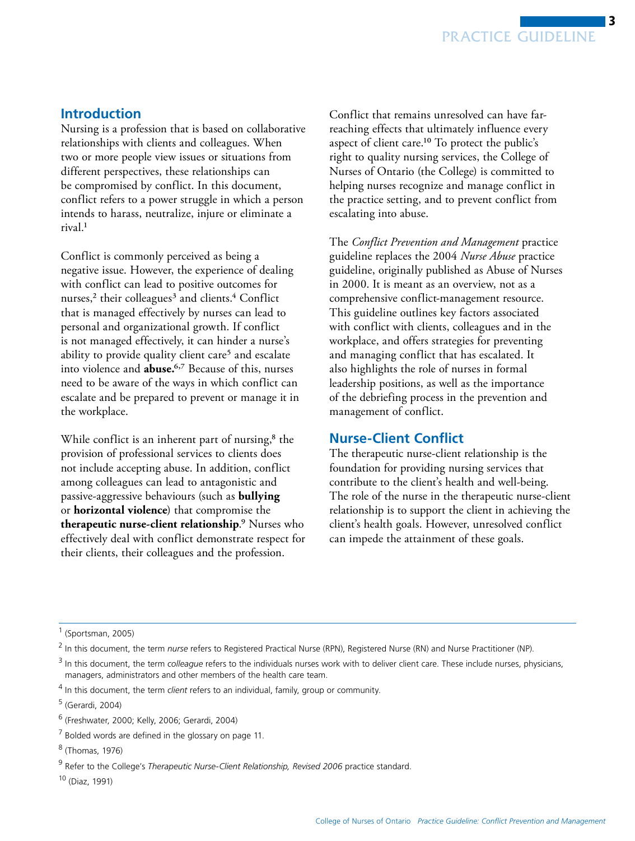# <span id="page-2-0"></span>**Introduction**

Nursing is a profession that is based on collaborative relationships with clients and colleagues. When two or more people view issues or situations from different perspectives, these relationships can be compromised by conflict. In this document, conflict refers to a power struggle in which a person intends to harass, neutralize, injure or eliminate a rival.1

Conflict is commonly perceived as being a negative issue. However, the experience of dealing with conflict can lead to positive outcomes for nurses, $2$  their colleagues $3$  and clients. $4$  Conflict that is managed effectively by nurses can lead to personal and organizational growth. If conflict is not managed effectively, it can hinder a nurse's ability to provide quality client care<sup>5</sup> and escalate into violence and **abuse.**6,7 Because of this, nurses need to be aware of the ways in which conflict can escalate and be prepared to prevent or manage it in the workplace.

While conflict is an inherent part of nursing, $8$  the provision of professional services to clients does not include accepting abuse. In addition, conflict among colleagues can lead to antagonistic and passive-aggressive behaviours (such as **bullying**  or **horizontal violence**) that compromise the **therapeutic nurse-client relationship**.9 Nurses who effectively deal with conflict demonstrate respect for their clients, their colleagues and the profession.

Conflict that remains unresolved can have farreaching effects that ultimately influence every aspect of client care.10 To protect the public's right to quality nursing services, the College of Nurses of Ontario (the College) is committed to helping nurses recognize and manage conflict in the practice setting, and to prevent conflict from escalating into abuse.

The *Conflict Prevention and Management* practice guideline replaces the 2004 *Nurse Abuse* practice guideline, originally published as Abuse of Nurses in 2000. It is meant as an overview, not as a comprehensive conflict-management resource. This guideline outlines key factors associated with conflict with clients, colleagues and in the workplace, and offers strategies for preventing and managing conflict that has escalated. It also highlights the role of nurses in formal leadership positions, as well as the importance of the debriefing process in the prevention and management of conflict.

### **Nurse-Client Conflict**

The therapeutic nurse-client relationship is the foundation for providing nursing services that contribute to the client's health and well-being. The role of the nurse in the therapeutic nurse-client relationship is to support the client in achieving the client's health goals. However, unresolved conflict can impede the attainment of these goals.

<sup>1</sup> (Sportsman, 2005)

<sup>2</sup>  In this document, the term *nurse* refers to Registered Practical Nurse (RPN), Registered Nurse (RN) and Nurse Practitioner (NP).

<sup>&</sup>lt;sup>3</sup> In this document, the term *colleague* refers to the individuals nurses work with to deliver client care. These include nurses, physicians, managers, administrators and other members of the health care team.

<sup>4</sup> In this document, the term *client* refers to an individual, family, group or community.

<sup>&</sup>lt;sup>5</sup> (Gerardi, 2004)

<sup>6</sup> (Freshwater, 2000; Kelly, 2006; Gerardi, 2004)

 $7$  Bolded words are defined in the glossary on page 11.

<sup>&</sup>lt;sup>8</sup> (Thomas, 1976)

<sup>9</sup> Refer to the College's *Therapeutic Nurse-Client Relationship, Revised 2006* practice standard.

<sup>10 (</sup>Diaz, 1991)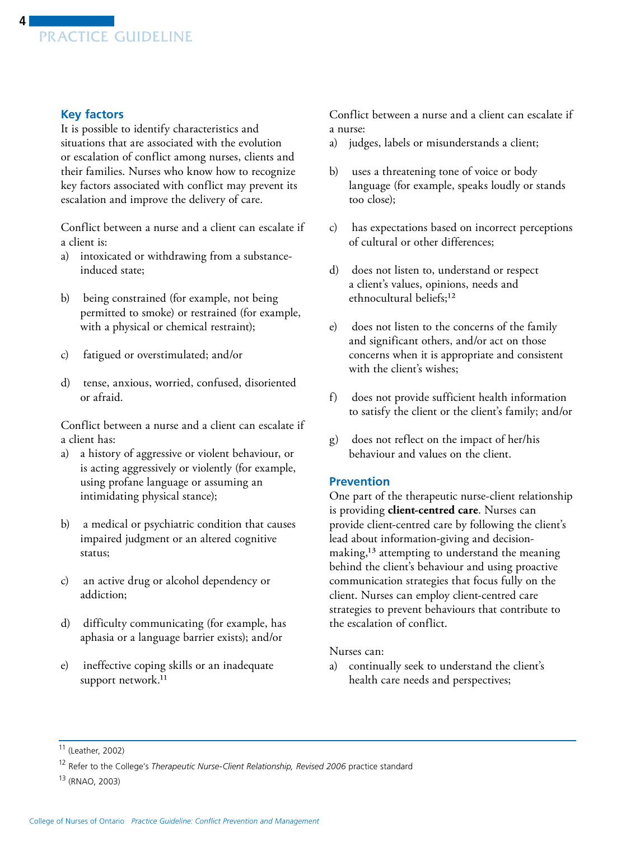<span id="page-3-0"></span>

#### **Key factors**

It is possible to identify characteristics and situations that are associated with the evolution or escalation of conflict among nurses, clients and their families. Nurses who know how to recognize key factors associated with conflict may prevent its escalation and improve the delivery of care.

Conflict between a nurse and a client can escalate if a client is:

- a) intoxicated or withdrawing from a substanceinduced state;
- b) being constrained (for example, not being permitted to smoke) or restrained (for example, with a physical or chemical restraint);
- c) fatigued or overstimulated; and/or
- d) tense, anxious, worried, confused, disoriented or afraid.

Conflict between a nurse and a client can escalate if a client has:

- a) a history of aggressive or violent behaviour, or is acting aggressively or violently (for example, using profane language or assuming an intimidating physical stance);
- b) a medical or psychiatric condition that causes impaired judgment or an altered cognitive status;
- c) an active drug or alcohol dependency or addiction;
- d) difficulty communicating (for example, has aphasia or a language barrier exists); and/or
- e) ineffective coping skills or an inadequate support network.<sup>11</sup>

Conflict between a nurse and a client can escalate if a nurse:

- a) judges, labels or misunderstands a client;
- b) uses a threatening tone of voice or body language (for example, speaks loudly or stands too close);
- c) has expectations based on incorrect perceptions of cultural or other differences;
- d) does not listen to, understand or respect a client's values, opinions, needs and ethnocultural beliefs;<sup>12</sup>
- e) does not listen to the concerns of the family and significant others, and/or act on those concerns when it is appropriate and consistent with the client's wishes;
- f) does not provide sufficient health information to satisfy the client or the client's family; and/or
- g) does not reflect on the impact of her/his behaviour and values on the client.

#### **Prevention**

One part of the therapeutic nurse-client relationship is providing **client-centred care**. Nurses can provide client-centred care by following the client's lead about information-giving and decisionmaking,13 attempting to understand the meaning behind the client's behaviour and using proactive communication strategies that focus fully on the client. Nurses can employ client-centred care strategies to prevent behaviours that contribute to the escalation of conflict.

Nurses can:

a) continually seek to understand the client's health care needs and perspectives;

<sup>11 (</sup>Leather, 2002)

<sup>12</sup> Refer to the College's *Therapeutic Nurse-Client Relationship, Revised 2006* practice standard

<sup>13 (</sup>RNAO, 2003)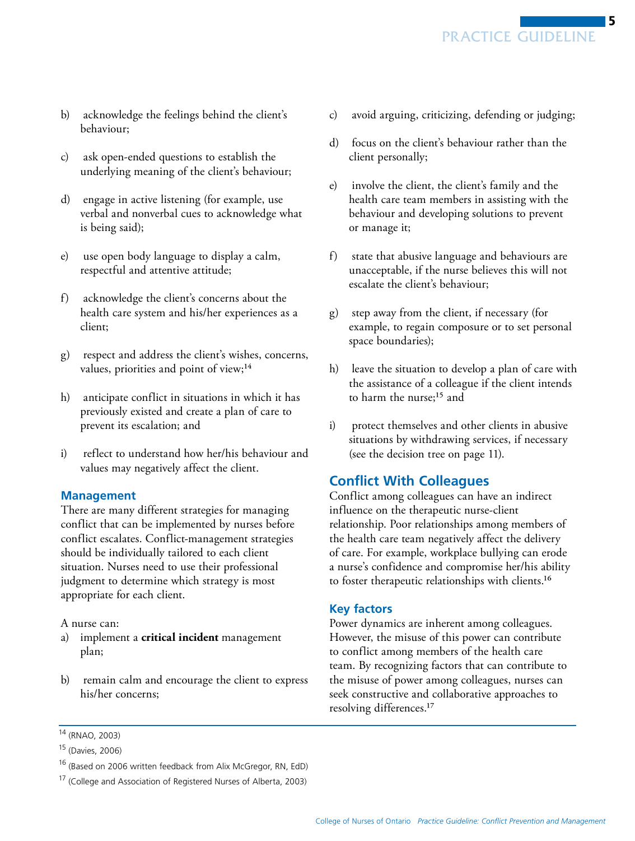- <span id="page-4-0"></span>b) acknowledge the feelings behind the client's behaviour;
- c) ask open-ended questions to establish the underlying meaning of the client's behaviour;
- d) engage in active listening (for example, use verbal and nonverbal cues to acknowledge what is being said);
- e) use open body language to display a calm, respectful and attentive attitude;
- f) acknowledge the client's concerns about the health care system and his/her experiences as a client;
- g) respect and address the client's wishes, concerns, values, priorities and point of view;<sup>14</sup>
- h) anticipate conflict in situations in which it has previously existed and create a plan of care to prevent its escalation; and
- i) reflect to understand how her/his behaviour and values may negatively affect the client.

### **Management**

There are many different strategies for managing conflict that can be implemented by nurses before conflict escalates. Conflict-management strategies should be individually tailored to each client situation. Nurses need to use their professional judgment to determine which strategy is most appropriate for each client.

A nurse can:

- a) implement a **critical incident** management plan;
- b) remain calm and encourage the client to express his/her concerns;
- c) avoid arguing, criticizing, defending or judging;
- d) focus on the client's behaviour rather than the client personally;
- e) involve the client, the client's family and the health care team members in assisting with the behaviour and developing solutions to prevent or manage it;
- f) state that abusive language and behaviours are unacceptable, if the nurse believes this will not escalate the client's behaviour;
- g) step away from the client, if necessary (for example, to regain composure or to set personal space boundaries);
- h) leave the situation to develop a plan of care with the assistance of a colleague if the client intends to harm the nurse;<sup>15</sup> and
- i) protect themselves and other clients in abusive situations by withdrawing services, if necessary (see the decision tree on page 11).

# **Conflict With Colleagues**

Conflict among colleagues can have an indirect influence on the therapeutic nurse-client relationship. Poor relationships among members of the health care team negatively affect the delivery of care. For example, workplace bullying can erode a nurse's confidence and compromise her/his ability to foster therapeutic relationships with clients.16

### **Key factors**

Power dynamics are inherent among colleagues. However, the misuse of this power can contribute to conflict among members of the health care team. By recognizing factors that can contribute to the misuse of power among colleagues, nurses can seek constructive and collaborative approaches to resolving differences.17

<sup>14 (</sup>RNAO, 2003)

<sup>15 (</sup>Davies, 2006)

<sup>&</sup>lt;sup>16</sup> (Based on 2006 written feedback from Alix McGregor, RN, EdD)

<sup>&</sup>lt;sup>17</sup> (College and Association of Registered Nurses of Alberta, 2003)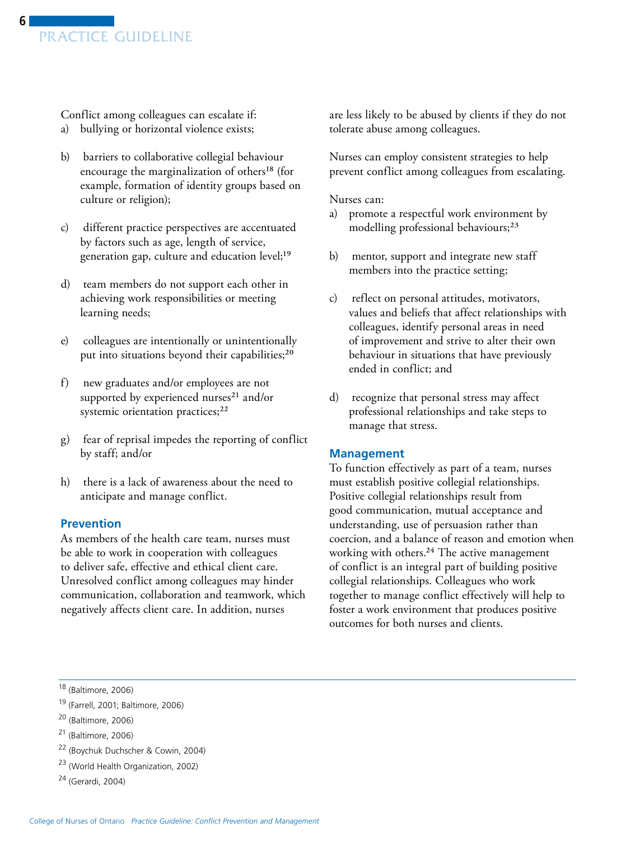<span id="page-5-0"></span>Conflict among colleagues can escalate if:

- a) bullying or horizontal violence exists;
- b) barriers to collaborative collegial behaviour encourage the marginalization of others<sup>18</sup> (for example, formation of identity groups based on culture or religion);
- c) different practice perspectives are accentuated by factors such as age, length of service, generation gap, culture and education level;<sup>19</sup>
- d) team members do not support each other in achieving work responsibilities or meeting learning needs;
- e) colleagues are intentionally or unintentionally put into situations beyond their capabilities;<sup>20</sup>
- f) new graduates and/or employees are not supported by experienced nurses<sup>21</sup> and/or systemic orientation practices;<sup>22</sup>
- g) fear of reprisal impedes the reporting of conflict by staff; and/or
- h) there is a lack of awareness about the need to anticipate and manage conflict.

#### **Prevention**

As members of the health care team, nurses must be able to work in cooperation with colleagues to deliver safe, effective and ethical client care. Unresolved conflict among colleagues may hinder communication, collaboration and teamwork, which negatively affects client care. In addition, nurses

are less likely to be abused by clients if they do not tolerate abuse among colleagues.

Nurses can employ consistent strategies to help prevent conflict among colleagues from escalating.

Nurses can:

- a) promote a respectful work environment by modelling professional behaviours;<sup>23</sup>
- b) mentor, support and integrate new staff members into the practice setting;
- c) reflect on personal attitudes, motivators, values and beliefs that affect relationships with colleagues, identify personal areas in need of improvement and strive to alter their own behaviour in situations that have previously ended in conflict; and
- d) recognize that personal stress may affect professional relationships and take steps to manage that stress.

#### **Management**

To function effectively as part of a team, nurses must establish positive collegial relationships. Positive collegial relationships result from good communication, mutual acceptance and understanding, use of persuasion rather than coercion, and a balance of reason and emotion when working with others.24 The active management of conflict is an integral part of building positive collegial relationships. Colleagues who work together to manage conflict effectively will help to foster a work environment that produces positive outcomes for both nurses and clients.

19 (Farrell, 2001; Baltimore, 2006)

- 22 (Boychuk Duchscher & Cowin, 2004)
- 23 (World Health Organization, 2002)
- 24 (Gerardi, 2004)

<sup>18 (</sup>Baltimore, 2006)

<sup>20 (</sup>Baltimore, 2006)

<sup>21 (</sup>Baltimore, 2006)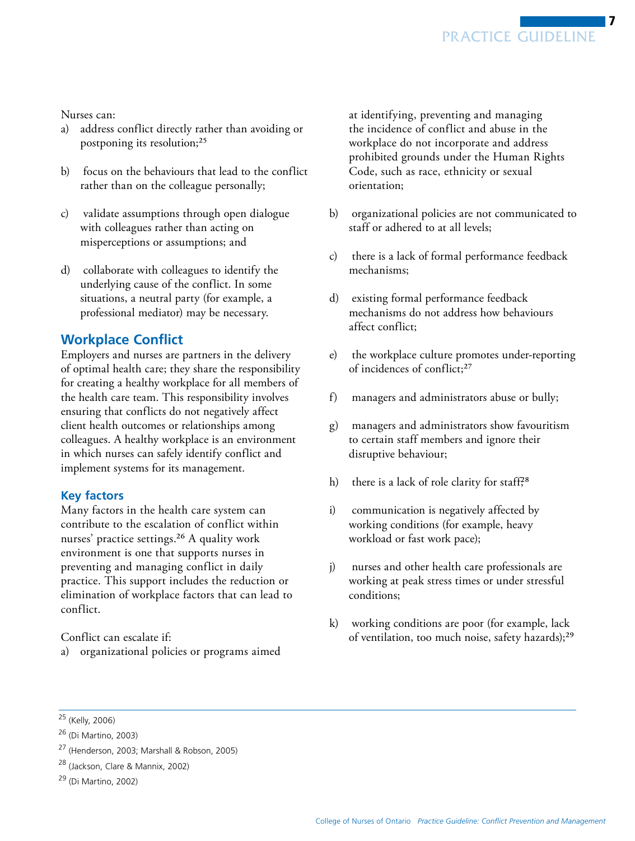### <span id="page-6-0"></span>Nurses can:

- a) address conflict directly rather than avoiding or postponing its resolution;25
- b) focus on the behaviours that lead to the conflict rather than on the colleague personally;
- c) validate assumptions through open dialogue with colleagues rather than acting on misperceptions or assumptions; and
- d) collaborate with colleagues to identify the underlying cause of the conflict. In some situations, a neutral party (for example, a professional mediator) may be necessary.

# **Workplace Conflict**

Employers and nurses are partners in the delivery of optimal health care; they share the responsibility for creating a healthy workplace for all members of the health care team. This responsibility involves ensuring that conflicts do not negatively affect client health outcomes or relationships among colleagues. A healthy workplace is an environment in which nurses can safely identify conflict and implement systems for its management.

# **Key factors**

Many factors in the health care system can contribute to the escalation of conflict within nurses' practice settings.<sup>26</sup> A quality work environment is one that supports nurses in preventing and managing conflict in daily practice. This support includes the reduction or elimination of workplace factors that can lead to conflict.

Conflict can escalate if:

a) organizational policies or programs aimed

at identifying, preventing and managing the incidence of conflict and abuse in the workplace do not incorporate and address prohibited grounds under the Human Rights Code, such as race, ethnicity or sexual orientation;

- b) organizational policies are not communicated to staff or adhered to at all levels;
- c) there is a lack of formal performance feedback mechanisms;
- d) existing formal performance feedback mechanisms do not address how behaviours affect conflict;
- e) the workplace culture promotes under-reporting of incidences of conflict;27
- f) managers and administrators abuse or bully;
- g) managers and administrators show favouritism to certain staff members and ignore their disruptive behaviour;
- h) there is a lack of role clarity for staff,<sup>28</sup>
- i) communication is negatively affected by working conditions (for example, heavy workload or fast work pace);
- j) nurses and other health care professionals are working at peak stress times or under stressful conditions;
- k) working conditions are poor (for example, lack of ventilation, too much noise, safety hazards);<sup>29</sup>

<sup>25 (</sup>Kelly, 2006)

<sup>26 (</sup>Di Martino, 2003)

<sup>27 (</sup>Henderson, 2003; Marshall & Robson, 2005)

<sup>28 (</sup>Jackson, Clare & Mannix, 2002)

<sup>29 (</sup>Di Martino, 2002)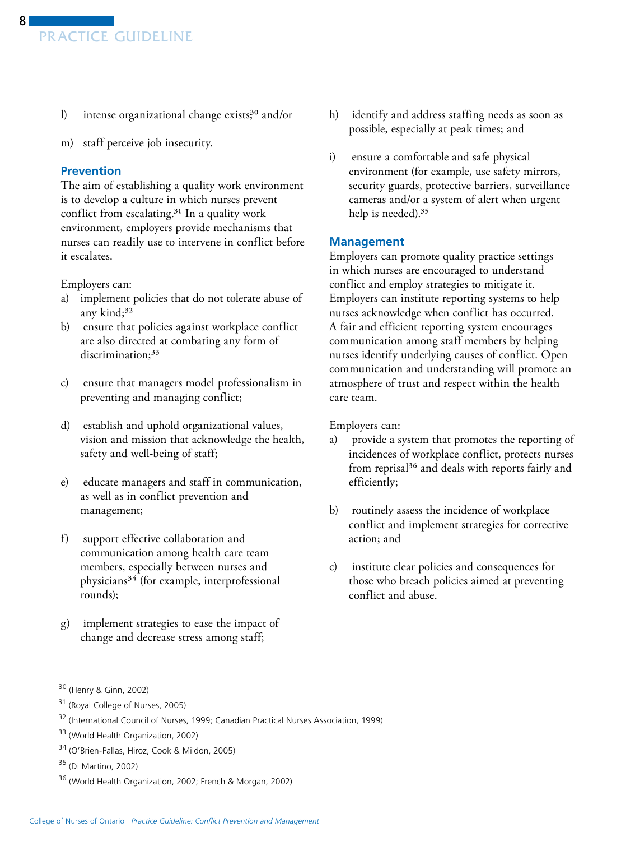- <span id="page-7-0"></span>l) intense organizational change exists $3^{0}$  and/or
- m) staff perceive job insecurity.

#### **Prevention**

The aim of establishing a quality work environment is to develop a culture in which nurses prevent conflict from escalating.31 In a quality work environment, employers provide mechanisms that nurses can readily use to intervene in conflict before it escalates.

Employers can:

- a) implement policies that do not tolerate abuse of any kind;<sup>32</sup>
- b) ensure that policies against workplace conflict are also directed at combating any form of discrimination;<sup>33</sup>
- c) ensure that managers model professionalism in preventing and managing conflict;
- d) establish and uphold organizational values, vision and mission that acknowledge the health, safety and well-being of staff;
- e) educate managers and staff in communication, as well as in conflict prevention and management;
- f) support effective collaboration and communication among health care team members, especially between nurses and physicians34 (for example, interprofessional rounds);
- g) implement strategies to ease the impact of change and decrease stress among staff;
- h) identify and address staffing needs as soon as possible, especially at peak times; and
- i) ensure a comfortable and safe physical environment (for example, use safety mirrors, security guards, protective barriers, surveillance cameras and/or a system of alert when urgent help is needed).<sup>35</sup>

#### **Management**

Employers can promote quality practice settings in which nurses are encouraged to understand conflict and employ strategies to mitigate it. Employers can institute reporting systems to help nurses acknowledge when conflict has occurred. A fair and efficient reporting system encourages communication among staff members by helping nurses identify underlying causes of conflict. Open communication and understanding will promote an atmosphere of trust and respect within the health care team.

Employers can:

- a) provide a system that promotes the reporting of incidences of workplace conflict, protects nurses from reprisal<sup>36</sup> and deals with reports fairly and efficiently;
- b) routinely assess the incidence of workplace conflict and implement strategies for corrective action; and
- c) institute clear policies and consequences for those who breach policies aimed at preventing conflict and abuse.

<sup>30 (</sup>Henry & Ginn, 2002)

<sup>31 (</sup>Royal College of Nurses, 2005)

<sup>32 (</sup>International Council of Nurses, 1999; Canadian Practical Nurses Association, 1999)

<sup>33 (</sup>World Health Organization, 2002)

<sup>34 (</sup>O'Brien-Pallas, Hiroz, Cook & Mildon, 2005)

<sup>35 (</sup>Di Martino, 2002)

<sup>36 (</sup>World Health Organization, 2002; French & Morgan, 2002)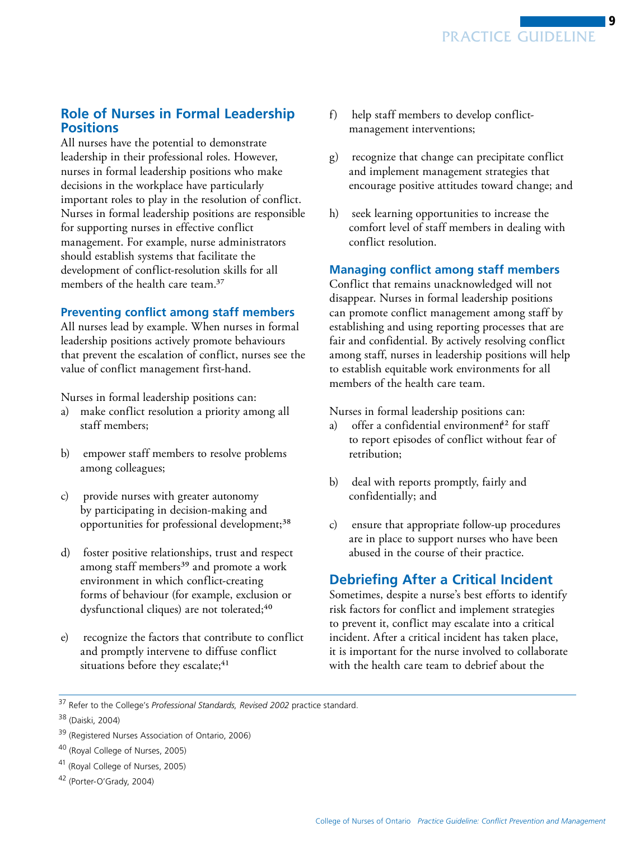# <span id="page-8-0"></span>**Role of Nurses in Formal Leadership Positions**

All nurses have the potential to demonstrate leadership in their professional roles. However, nurses in formal leadership positions who make decisions in the workplace have particularly important roles to play in the resolution of conflict. Nurses in formal leadership positions are responsible for supporting nurses in effective conflict management. For example, nurse administrators should establish systems that facilitate the development of conflict-resolution skills for all members of the health care team.<sup>37</sup>

#### **Preventing conflict among staff members**

All nurses lead by example. When nurses in formal leadership positions actively promote behaviours that prevent the escalation of conflict, nurses see the value of conflict management first-hand.

Nurses in formal leadership positions can:

- a) make conflict resolution a priority among all staff members;
- b) empower staff members to resolve problems among colleagues;
- c) provide nurses with greater autonomy by participating in decision-making and opportunities for professional development;<sup>38</sup>
- d) foster positive relationships, trust and respect among staff members<sup>39</sup> and promote a work environment in which conflict-creating forms of behaviour (for example, exclusion or dysfunctional cliques) are not tolerated;<sup>40</sup>
- e) recognize the factors that contribute to conflict and promptly intervene to diffuse conflict situations before they escalate;<sup>41</sup>
- f) help staff members to develop conflictmanagement interventions;
- g) recognize that change can precipitate conflict and implement management strategies that encourage positive attitudes toward change; and
- h) seek learning opportunities to increase the comfort level of staff members in dealing with conflict resolution.

#### **Managing conflict among staff members**

Conflict that remains unacknowledged will not disappear. Nurses in formal leadership positions can promote conflict management among staff by establishing and using reporting processes that are fair and confidential. By actively resolving conflict among staff, nurses in leadership positions will help to establish equitable work environments for all members of the health care team.

Nurses in formal leadership positions can:

- a) offer a confidential environment<sup>42</sup> for staff to report episodes of conflict without fear of retribution;
- b) deal with reports promptly, fairly and confidentially; and
- c) ensure that appropriate follow-up procedures are in place to support nurses who have been abused in the course of their practice.

# **Debriefing After a Critical Incident**

Sometimes, despite a nurse's best efforts to identify risk factors for conflict and implement strategies to prevent it, conflict may escalate into a critical incident. After a critical incident has taken place, it is important for the nurse involved to collaborate with the health care team to debrief about the

<sup>37</sup> Refer to the College's *Professional Standards, Revised 2002* practice standard.

<sup>38 (</sup>Daiski, 2004)

<sup>&</sup>lt;sup>39</sup> (Registered Nurses Association of Ontario, 2006)

<sup>40 (</sup>Royal College of Nurses, 2005)

<sup>41 (</sup>Royal College of Nurses, 2005)

<sup>42 (</sup>Porter-O'Grady, 2004)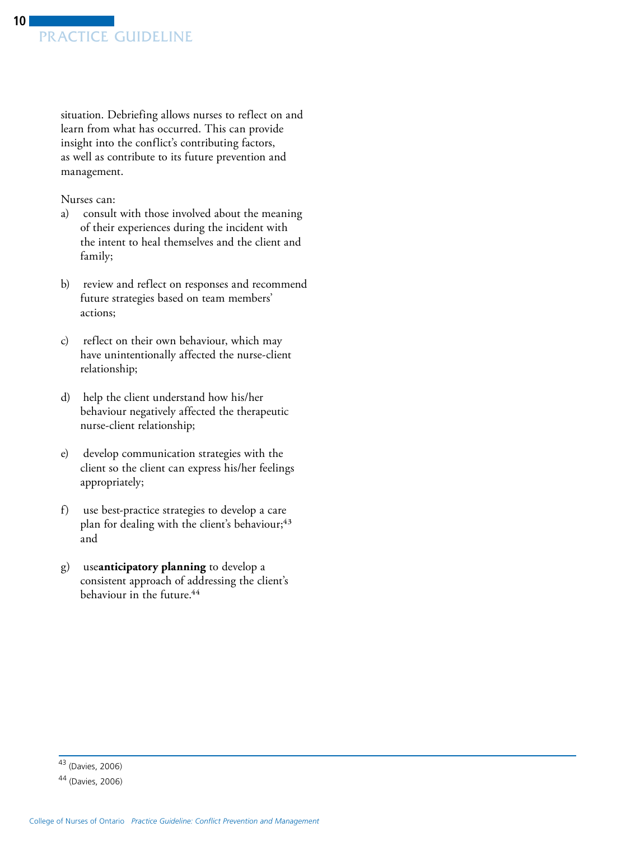situation. Debriefing allows nurses to reflect on and learn from what has occurred. This can provide insight into the conflict's contributing factors, as well as contribute to its future prevention and management.

Nurses can:

- a) consult with those involved about the meaning of their experiences during the incident with the intent to heal themselves and the client and family;
- b) review and reflect on responses and recommend future strategies based on team members' actions;
- c) reflect on their own behaviour, which may have unintentionally affected the nurse-client relationship;
- d) help the client understand how his/her behaviour negatively affected the therapeutic nurse-client relationship;
- e) develop communication strategies with the client so the client can express his/her feelings appropriately;
- f) use best-practice strategies to develop a care plan for dealing with the client's behaviour;<sup>43</sup> and
- g) use **anticipatory planning** to develop a consistent approach of addressing the client's behaviour in the future.44

<sup>43 (</sup>Davies, 2006)

<sup>44 (</sup>Davies, 2006)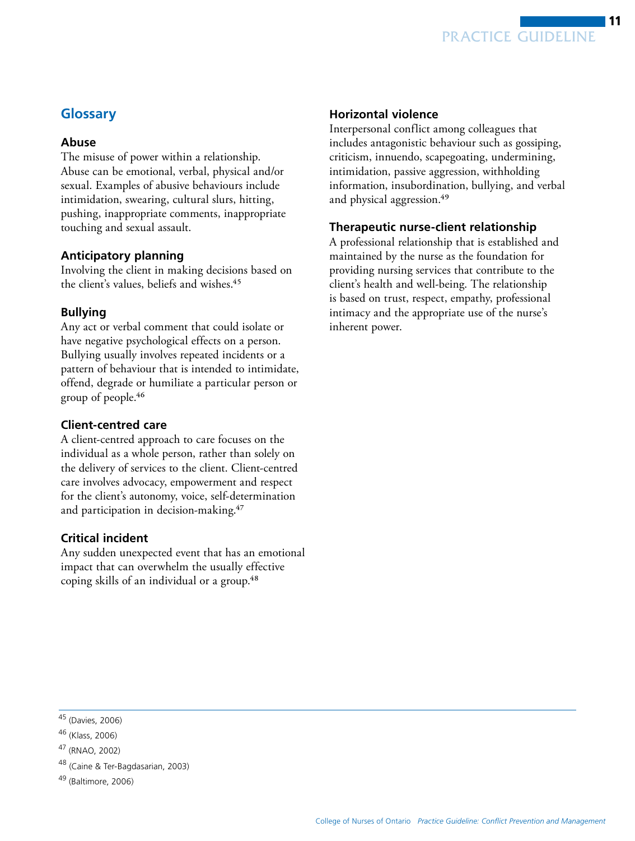

### <span id="page-10-0"></span>**Glossary**

#### **Abuse**

The misuse of power within a relationship. Abuse can be emotional, verbal, physical and/or sexual. Examples of abusive behaviours include intimidation, swearing, cultural slurs, hitting, pushing, inappropriate comments, inappropriate touching and sexual assault.

#### **Anticipatory planning**

Involving the client in making decisions based on the client's values, beliefs and wishes.<sup>45</sup>

#### **Bullying**

Any act or verbal comment that could isolate or have negative psychological effects on a person. Bullying usually involves repeated incidents or a pattern of behaviour that is intended to intimidate, offend, degrade or humiliate a particular person or group of people.46

#### **Client-centred care**

A client-centred approach to care focuses on the individual as a whole person, rather than solely on the delivery of services to the client. Client-centred care involves advocacy, empowerment and respect for the client's autonomy, voice, self-determination and participation in decision-making.<sup>47</sup>

#### **Critical incident**

Any sudden unexpected event that has an emotional impact that can overwhelm the usually effective coping skills of an individual or a group.<sup>48</sup>

#### **Horizontal violence**

Interpersonal conflict among colleagues that includes antagonistic behaviour such as gossiping, criticism, innuendo, scapegoating, undermining, intimidation, passive aggression, withholding information, insubordination, bullying, and verbal and physical aggression.<sup>49</sup>

#### **Therapeutic nurse-client relationship**

A professional relationship that is established and maintained by the nurse as the foundation for providing nursing services that contribute to the client's health and well-being. The relationship is based on trust, respect, empathy, professional intimacy and the appropriate use of the nurse's inherent power.

<sup>45 (</sup>Davies, 2006)

<sup>46 (</sup>Klass, 2006)

<sup>47 (</sup>RNAO, 2002)

<sup>48 (</sup>Caine & Ter-Bagdasarian, 2003)

<sup>49 (</sup>Baltimore, 2006)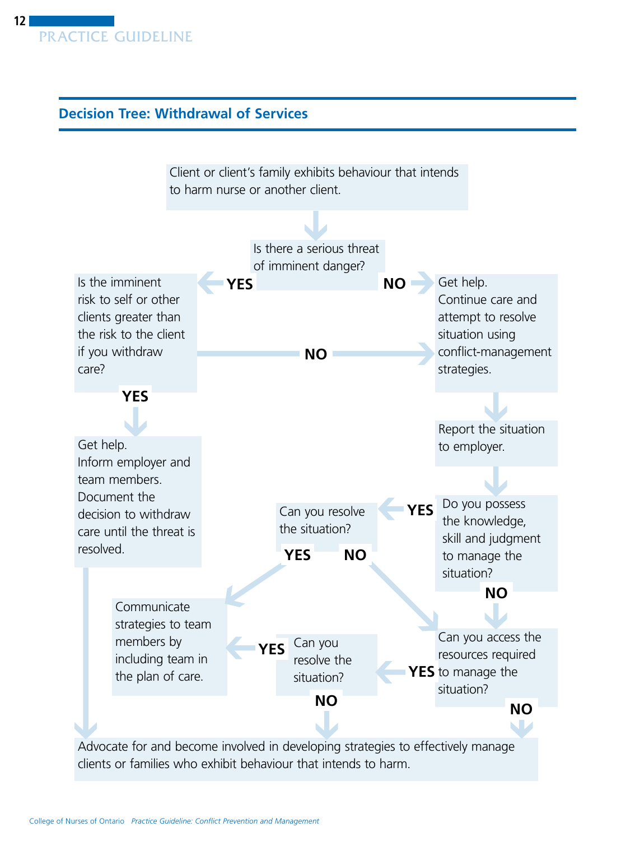# <span id="page-11-0"></span>**Decision Tree: Withdrawal of Services**

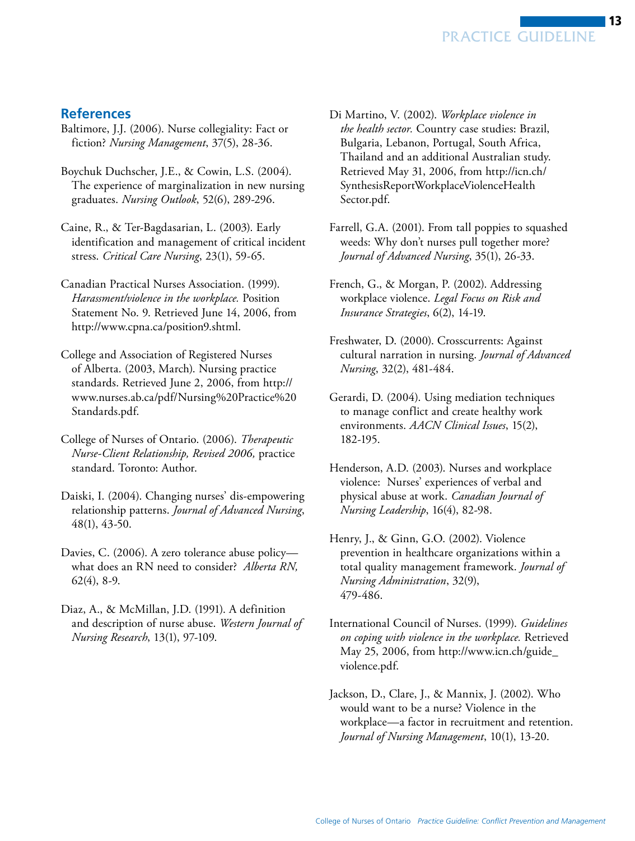# <span id="page-12-0"></span>**References**

- Baltimore, J.J. (2006). Nurse collegiality: Fact or fiction? *Nursing Management*, 37(5), 28-36.
- Boychuk Duchscher, J.E., & Cowin, L.S. (2004). The experience of marginalization in new nursing graduates. *Nursing Outlook*, 52(6), 289-296.
- Caine, R., & Ter-Bagdasarian, L. (2003). Early identification and management of critical incident stress. *Critical Care Nursing*, 23(1), 59-65.
- Canadian Practical Nurses Association. (1999). *Harassment/violence in the workplace.* Position Statement No. 9. Retrieved June 14, 2006, from http://www.cpna.ca/position9.shtml.
- College and Association of Registered Nurses of Alberta. (2003, March). Nursing practice standards. Retrieved June 2, 2006, from [http://](http://www.nurses.ab.ca/pdf/Nursing%20Practice%20Standards.pdf)  www.nurses.ab.ca/pdf/Nursing%20Practice%20 Standards.pdf.
- College of Nurses of Ontario. (2006). *Therapeutic Nurse-Client Relationship, Revised 2006,* practice standard. Toronto: Author.
- Daiski, I. (2004). Changing nurses' dis-empowering relationship patterns. *Journal of Advanced Nursing*, 48(1), 43-50.
- Davies, C. (2006). A zero tolerance abuse policy what does an RN need to consider? *Alberta RN,*  62(4), 8-9.
- Diaz, A., & McMillan, J.D. (1991). A definition and description of nurse abuse. *Western Journal of Nursing Research*, 13(1), 97-109.
- Di Martino, V. (2002). *Workplace violence in the health sector.* Country case studies: Brazil, Bulgaria, Lebanon, Portugal, South Africa, Thailand and an additional Australian study. Retrieved May 31, 2006, from http://icn.ch/ [SynthesisReportWorkplaceViolenceHealth](http://icn.ch/SynthesisReportWorkplaceViolenceHealthSector.pdf)  Sector.pdf.
- Farrell, G.A. (2001). From tall poppies to squashed weeds: Why don't nurses pull together more? *Journal of Advanced Nursing*, 35(1), 26-33.
- French, G., & Morgan, P. (2002). Addressing workplace violence. *Legal Focus on Risk and Insurance Strategies*, 6(2), 14-19.
- Freshwater, D. (2000). Crosscurrents: Against cultural narration in nursing. *Journal of Advanced Nursing*, 32(2), 481-484.
- Gerardi, D. (2004). Using mediation techniques to manage conflict and create healthy work environments. *AACN Clinical Issues*, 15(2), 182-195.
- Henderson, A.D. (2003). Nurses and workplace violence: Nurses' experiences of verbal and physical abuse at work. *Canadian Journal of Nursing Leadership*, 16(4), 82-98.
- Henry, J., & Ginn, G.O. (2002). Violence prevention in healthcare organizations within a total quality management framework. *Journal of Nursing Administration*, 32(9), 479-486.
- International Council of Nurses. (1999). *Guidelines on coping with violence in the workplace.* Retrieved May 25, 2006, from http://www.icn.ch/guide\_ [violence.pdf.](http://www.icn.ch/guide_violence.pdf)
- Jackson, D., Clare, J., & Mannix, J. (2002). Who would want to be a nurse? Violence in the workplace—a factor in recruitment and retention. *Journal of Nursing Management*, 10(1), 13-20.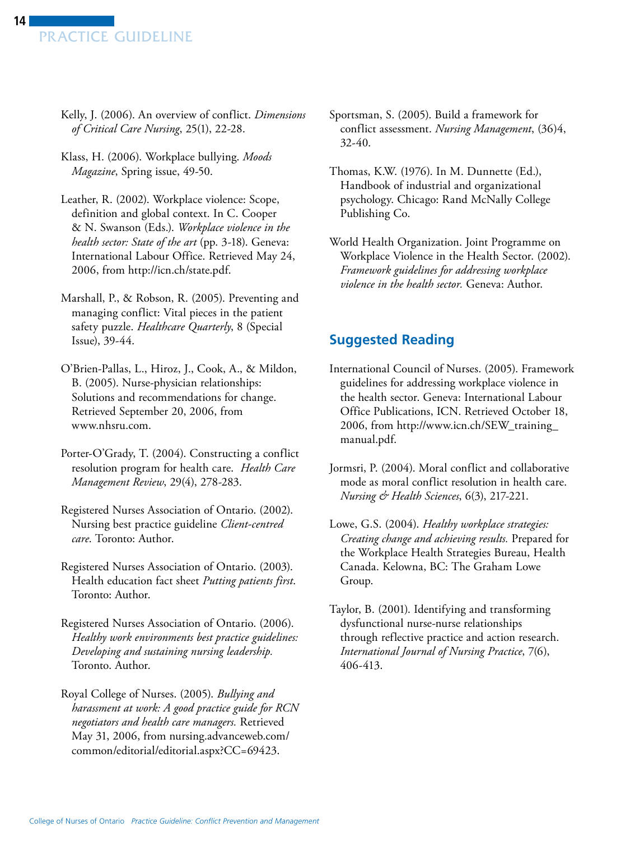- <span id="page-13-0"></span>Kelly, J. (2006). An overview of conflict. *Dimensions of Critical Care Nursing*, 25(1), 22-28.
- Klass, H. (2006). Workplace bullying. *Moods Magazine*, Spring issue, 49-50.
- Leather, R. (2002). Workplace violence: Scope, definition and global context. In C. Cooper & N. Swanson (Eds.). *Workplace violence in the health sector: State of the art* (pp. 3-18). Geneva: International Labour Office. Retrieved May 24, 2006, from http://icn.ch/state.pdf.
- Marshall, P., & Robson, R. (2005). Preventing and managing conflict: Vital pieces in the patient safety puzzle. *Healthcare Quarterly*, 8 (Special Issue), 39-44.
- O'Brien-Pallas, L., Hiroz, J., Cook, A., & Mildon, B. (2005). Nurse-physician relationships: Solutions and recommendations for change. Retrieved September 20, 2006, from www.nhsru.com.
- Porter-O'Grady, T. (2004). Constructing a conflict resolution program for health care. *Health Care Management Review*, 29(4), 278-283.
- Registered Nurses Association of Ontario. (2002). Nursing best practice guideline *Client-centred care*. Toronto: Author.
- Registered Nurses Association of Ontario. (2003). Health education fact sheet *Putting patients first*. Toronto: Author.
- Registered Nurses Association of Ontario. (2006). *Healthy work environments best practice guidelines: Developing and sustaining nursing leadership.*  Toronto. Author.
- Royal College of Nurses. (2005). *Bullying and harassment at work: A good practice guide for RCN negotiators and health care managers.* Retrieved May 31, 2006, from nursing.advanceweb.com/ [common/editorial/editorial.aspx?CC=69423](http://nursing.advanceweb.com/common/editorial/editorial.aspx?CC=69423).
- Sportsman, S. (2005). Build a framework for conflict assessment. *Nursing Management*, (36)4, 32-40.
- Thomas, K.W. (1976). In M. Dunnette (Ed.), Handbook of industrial and organizational psychology. Chicago: Rand McNally College Publishing Co.
- World Health Organization. Joint Programme on Workplace Violence in the Health Sector. (2002). *Framework guidelines for addressing workplace violence in the health sector.* Geneva: Author.

# **Suggested Reading**

- International Council of Nurses. (2005). Framework guidelines for addressing workplace violence in the health sector. Geneva: International Labour Office Publications, ICN. Retrieved October 18, 2006, from http://www.icn.ch/SEW\_training\_ [manual.pdf.](http://www.icn.ch/SEW_training_manual.pdf)
- Jormsri, P. (2004). Moral conflict and collaborative mode as moral conflict resolution in health care. *Nursing & Health Sciences*, 6(3), 217-221.
- Lowe, G.S. (2004). *Healthy workplace strategies: Creating change and achieving results.* Prepared for the Workplace Health Strategies Bureau, Health Canada. Kelowna, BC: The Graham Lowe Group.
- Taylor, B. (2001). Identifying and transforming dysfunctional nurse-nurse relationships through reflective practice and action research. *International Journal of Nursing Practice*, 7(6), 406-413.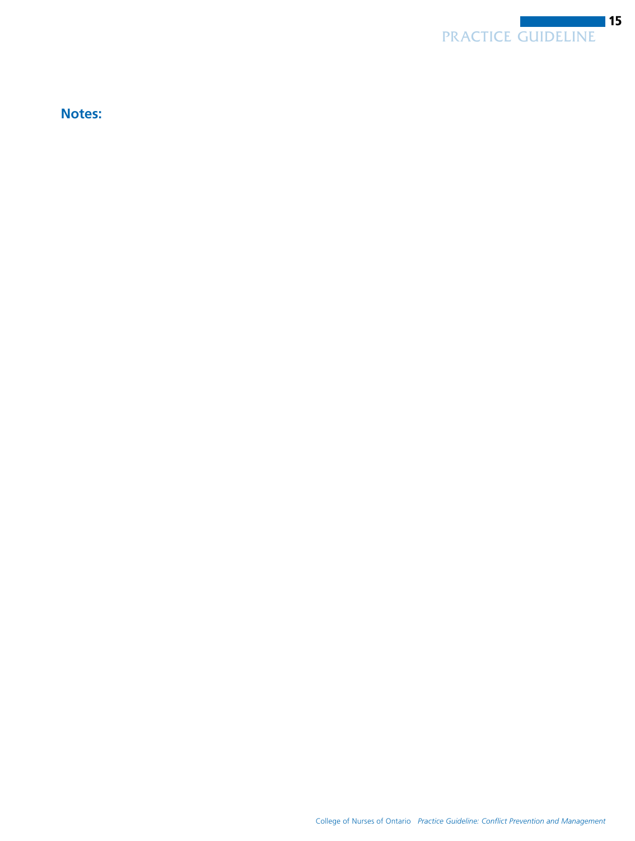

**Notes:**